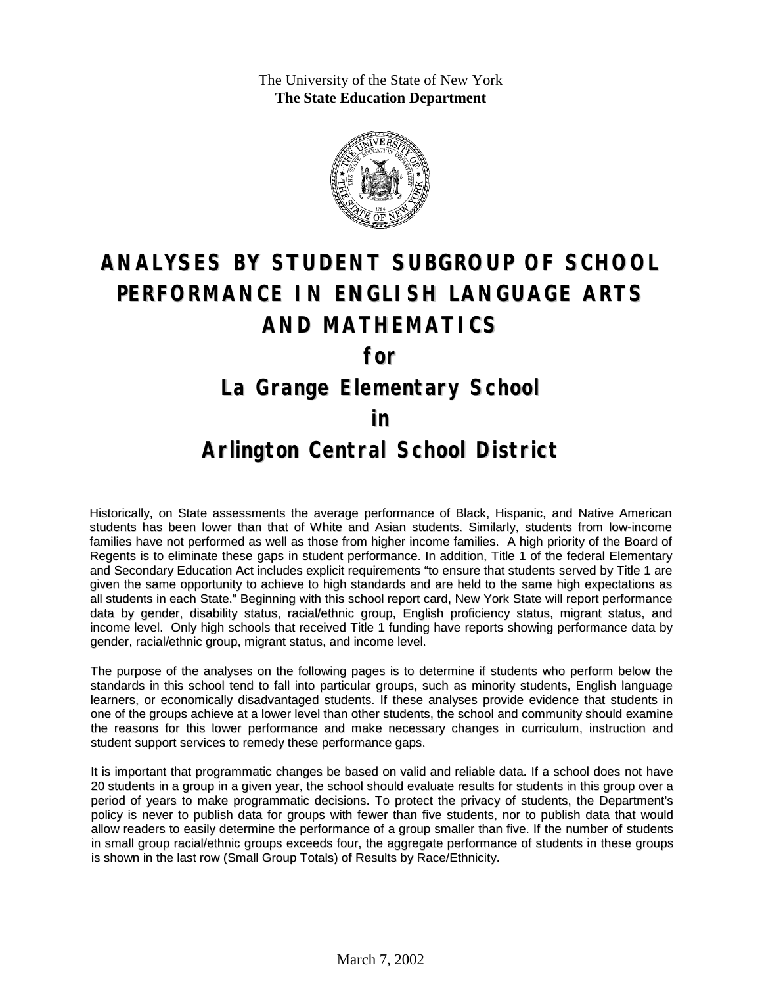The University of the State of New York **The State Education Department**



# **ANALYSES BY STUDENT SUBGROUP OF SCHOOL PERFORMANCE IN ENGLISH LANGUAGE ARTS AND MATHEMATICS**

**for**

### **La Grange Elementary School**

#### **in**

### **Arlington Central School District**

Historically, on State assessments the average performance of Black, Hispanic, and Native American students has been lower than that of White and Asian students. Similarly, students from low-income families have not performed as well as those from higher income families. A high priority of the Board of Regents is to eliminate these gaps in student performance. In addition, Title 1 of the federal Elementary and Secondary Education Act includes explicit requirements "to ensure that students served by Title 1 are given the same opportunity to achieve to high standards and are held to the same high expectations as all students in each State." Beginning with this school report card, New York State will report performance data by gender, disability status, racial/ethnic group, English proficiency status, migrant status, and income level. Only high schools that received Title 1 funding have reports showing performance data by gender, racial/ethnic group, migrant status, and income level.

The purpose of the analyses on the following pages is to determine if students who perform below the standards in this school tend to fall into particular groups, such as minority students, English language learners, or economically disadvantaged students. If these analyses provide evidence that students in one of the groups achieve at a lower level than other students, the school and community should examine the reasons for this lower performance and make necessary changes in curriculum, instruction and student support services to remedy these performance gaps.

It is important that programmatic changes be based on valid and reliable data. If a school does not have 20 students in a group in a given year, the school should evaluate results for students in this group over a period of years to make programmatic decisions. To protect the privacy of students, the Department's policy is never to publish data for groups with fewer than five students, nor to publish data that would allow readers to easily determine the performance of a group smaller than five. If the number of students in small group racial/ethnic groups exceeds four, the aggregate performance of students in these groups is shown in the last row (Small Group Totals) of Results by Race/Ethnicity.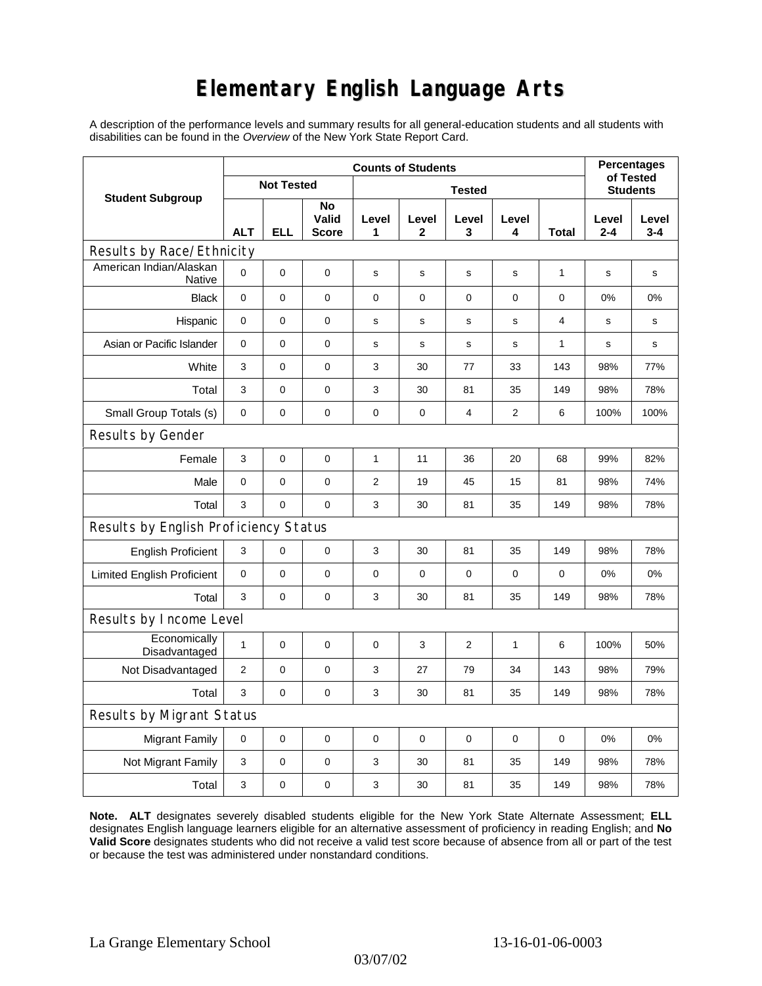# **Elementary English Language Arts**

A description of the performance levels and summary results for all general-education students and all students with disabilities can be found in the *Overview* of the New York State Report Card.

| <b>Student Subgroup</b>                  | <b>Counts of Students</b> |             |                             |               |              |                  |              |       | <b>Percentages</b>           |                  |
|------------------------------------------|---------------------------|-------------|-----------------------------|---------------|--------------|------------------|--------------|-------|------------------------------|------------------|
|                                          | <b>Not Tested</b>         |             |                             | <b>Tested</b> |              |                  |              |       | of Tested<br><b>Students</b> |                  |
|                                          | <b>ALT</b>                | <b>ELL</b>  | No<br>Valid<br><b>Score</b> | Level<br>1    | Level<br>2   | Level<br>3       | Level<br>4   | Total | Level<br>$2 - 4$             | Level<br>$3 - 4$ |
| Results by Race/Ethnicity                |                           |             |                             |               |              |                  |              |       |                              |                  |
| American Indian/Alaskan<br><b>Native</b> | $\mathbf 0$               | 0           | $\pmb{0}$                   | $\mathbf s$   | s            | s                | $\mathbf s$  | 1     | $\mathbf s$                  | $\mathbf s$      |
| <b>Black</b>                             | 0                         | 0           | 0                           | 0             | 0            | $\mathbf 0$      | 0            | 0     | 0%                           | 0%               |
| Hispanic                                 | 0                         | 0           | $\pmb{0}$                   | s             | $\mathsf{s}$ | $\mathbf S$      | s            | 4     | s                            | s                |
| Asian or Pacific Islander                | 0                         | 0           | 0                           | s             | s            | s                | s            | 1     | s                            | s                |
| White                                    | 3                         | 0           | 0                           | 3             | 30           | 77               | 33           | 143   | 98%                          | 77%              |
| Total                                    | 3                         | 0           | $\pmb{0}$                   | 3             | 30           | 81               | 35           | 149   | 98%                          | 78%              |
| Small Group Totals (s)                   | 0                         | 0           | 0                           | 0             | 0            | 4                | 2            | 6     | 100%                         | 100%             |
| Results by Gender                        |                           |             |                             |               |              |                  |              |       |                              |                  |
| Female                                   | 3                         | $\mathsf 0$ | $\pmb{0}$                   | 1             | 11           | 36               | 20           | 68    | 99%                          | 82%              |
| Male                                     | $\mathbf 0$               | 0           | $\mathbf 0$                 | 2             | 19           | 45               | 15           | 81    | 98%                          | 74%              |
| Total                                    | 3                         | 0           | 0                           | 3             | 30           | 81               | 35           | 149   | 98%                          | 78%              |
| Results by English Proficiency Status    |                           |             |                             |               |              |                  |              |       |                              |                  |
| <b>English Proficient</b>                | $\ensuremath{\mathsf{3}}$ | 0           | $\pmb{0}$                   | 3             | 30           | 81               | 35           | 149   | 98%                          | 78%              |
| <b>Limited English Proficient</b>        | $\mathbf 0$               | 0           | $\pmb{0}$                   | $\pmb{0}$     | 0            | $\boldsymbol{0}$ | 0            | 0     | 0%                           | 0%               |
| Total                                    | 3                         | 0           | 0                           | 3             | 30           | 81               | 35           | 149   | 98%                          | 78%              |
| Results by Income Level                  |                           |             |                             |               |              |                  |              |       |                              |                  |
| Economically<br>Disadvantaged            | $\mathbf{1}$              | 0           | $\mathbf 0$                 | 0             | 3            | $\overline{c}$   | $\mathbf{1}$ | 6     | 100%                         | 50%              |
| Not Disadvantaged                        | 2                         | 0           | 0                           | 3             | 27           | 79               | 34           | 143   | 98%                          | 79%              |
| Total                                    | 3                         | 0           | $\pmb{0}$                   | 3             | 30           | 81               | 35           | 149   | 98%                          | 78%              |
| Results by Migrant Status                |                           |             |                             |               |              |                  |              |       |                              |                  |
| <b>Migrant Family</b>                    | 0                         | 0           | $\pmb{0}$                   | $\pmb{0}$     | 0            | $\mathbf 0$      | 0            | 0     | 0%                           | 0%               |
| Not Migrant Family                       | 3                         | 0           | $\pmb{0}$                   | 3             | 30           | 81               | 35           | 149   | 98%                          | 78%              |
| Total                                    | 3                         | 0           | $\pmb{0}$                   | 3             | 30           | 81               | 35           | 149   | 98%                          | 78%              |

**Note. ALT** designates severely disabled students eligible for the New York State Alternate Assessment; **ELL** designates English language learners eligible for an alternative assessment of proficiency in reading English; and **No Valid Score** designates students who did not receive a valid test score because of absence from all or part of the test or because the test was administered under nonstandard conditions.